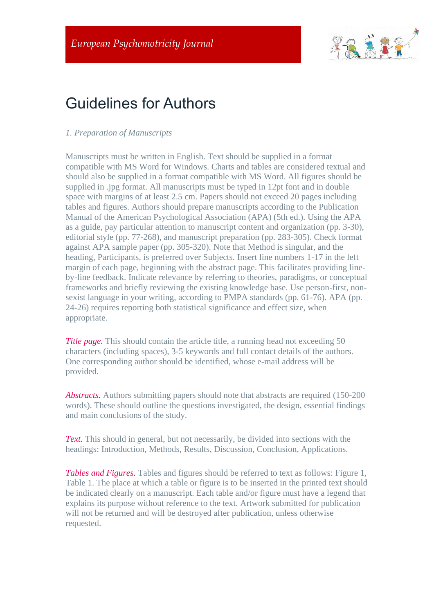

# Guidelines for Authors

## *1. Preparation of Manuscripts*

Manuscripts must be written in English. Text should be supplied in a format compatible with MS Word for Windows. Charts and tables are considered textual and should also be supplied in a format compatible with MS Word. All figures should be supplied in .jpg format. All manuscripts must be typed in 12pt font and in double space with margins of at least 2.5 cm. Papers should not exceed 20 pages including tables and figures. Authors should prepare manuscripts according to the Publication Manual of the American Psychological Association (APA) (5th ed.). Using the APA as a guide, pay particular attention to manuscript content and organization (pp. 3-30), editorial style (pp. 77-268), and manuscript preparation (pp. 283-305). Check format against APA sample paper (pp. 305-320). Note that Method is singular, and the heading, Participants, is preferred over Subjects. Insert line numbers 1-17 in the left margin of each page, beginning with the abstract page. This facilitates providing lineby-line feedback. Indicate relevance by referring to theories, paradigms, or conceptual frameworks and briefly reviewing the existing knowledge base. Use person-first, nonsexist language in your writing, according to PMPA standards (pp. 61-76). APA (pp. 24-26) requires reporting both statistical significance and effect size, when appropriate.

*Title page.* This should contain the article title, a running head not exceeding 50 characters (including spaces), 3-5 keywords and full contact details of the authors. One corresponding author should be identified, whose e-mail address will be provided.

*Abstracts.* Authors submitting papers should note that abstracts are required (150-200 words). These should outline the questions investigated, the design, essential findings and main conclusions of the study.

*Text.* This should in general, but not necessarily, be divided into sections with the headings: Introduction, Methods, Results, Discussion, Conclusion, Applications.

*Tables and Figures.* Tables and figures should be referred to text as follows: Figure 1, Table 1. The place at which a table or figure is to be inserted in the printed text should be indicated clearly on a manuscript. Each table and/or figure must have a legend that explains its purpose without reference to the text. Artwork submitted for publication will not be returned and will be destroyed after publication, unless otherwise requested.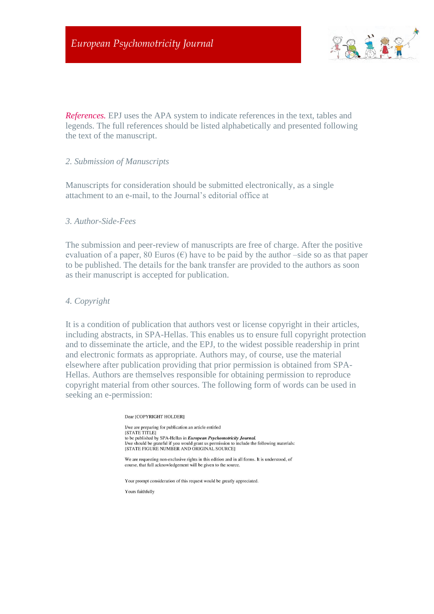

*References.* EPJ uses the APA system to indicate references in the text, tables and legends. The full references should be listed alphabetically and presented following the text of the manuscript.

#### *2. Submission of Manuscripts*

Manuscripts for consideration should be submitted electronically, as a single attachment to an e-mail, to the Journal's editorial office at

#### *3. Author-Side-Fees*

The submission and peer-review of manuscripts are free of charge. After the positive evaluation of a paper, 80 Euros  $(\epsilon)$  have to be paid by the author-side so as that paper to be published. The details for the bank transfer are provided to the authors as soon as their manuscript is accepted for publication.

#### *4. Copyright*

It is a condition of publication that authors vest or license copyright in their articles, including abstracts, in SPA-Hellas. This enables us to ensure full copyright protection and to disseminate the article, and the EPJ, to the widest possible readership in print and electronic formats as appropriate. Authors may, of course, use the material elsewhere after publication providing that prior permission is obtained from SPA-Hellas. Authors are themselves responsible for obtaining permission to reproduce copyright material from other sources. The following form of words can be used in seeking an e-permission:

#### Dear [COPYRIGHT HOLDER]

I/we are preparing for publication an article entitled **ISTATE TITLE!** to be published by SPA-Hellas in *European Psychomotricity Journal*. I/we should be grateful if you would grant us permission to include the following materials:<br>[STATE FIGURE NUMBER AND ORIGINAL SOURCE]

We are requesting non-exclusive rights in this edition and in all forms. It is understood, of course, that full acknowledgement will be given to the source.

Your prompt consideration of this request would be greatly appreciated.

Yours faithfully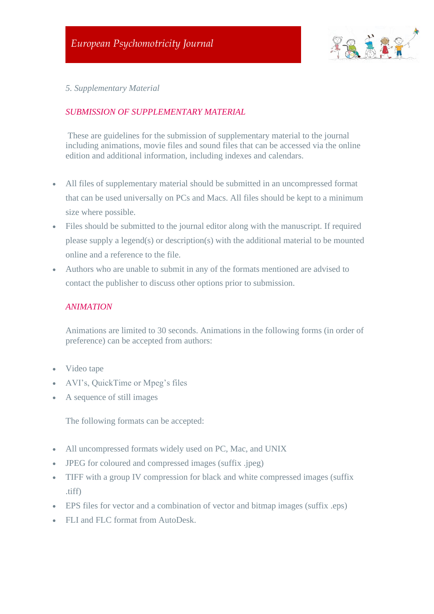

*5. Supplementary Material*

# *SUBMISSION OF SUPPLEMENTARY MATERIAL*

These are guidelines for the submission of supplementary material to the journal including animations, movie files and sound files that can be accessed via the online edition and additional information, including indexes and calendars.

- All files of supplementary material should be submitted in an uncompressed format that can be used universally on PCs and Macs. All files should be kept to a minimum size where possible.
- Files should be submitted to the journal editor along with the manuscript. If required please supply a legend(s) or description(s) with the additional material to be mounted online and a reference to the file.
- Authors who are unable to submit in any of the formats mentioned are advised to contact the publisher to discuss other options prior to submission.

## *ANIMATION*

Animations are limited to 30 seconds. Animations in the following forms (in order of preference) can be accepted from authors:

- Video tape
- AVI's, QuickTime or Mpeg's files
- A sequence of still images

The following formats can be accepted:

- All uncompressed formats widely used on PC, Mac, and UNIX
- **JPEG** for coloured and compressed images (suffix .jpeg)
- TIFF with a group IV compression for black and white compressed images (suffix .tiff)
- EPS files for vector and a combination of vector and bitmap images (suffix .eps)
- FLI and FLC format from AutoDesk.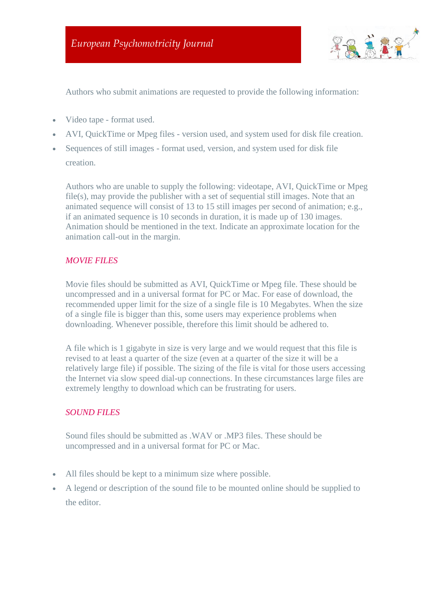

Authors who submit animations are requested to provide the following information:

• Video tape - format used.

- AVI, QuickTime or Mpeg files version used, and system used for disk file creation.
- Sequences of still images format used, version, and system used for disk file creation.

Authors who are unable to supply the following: videotape, AVI, QuickTime or Mpeg file(s), may provide the publisher with a set of sequential still images. Note that an animated sequence will consist of 13 to 15 still images per second of animation; e.g., if an animated sequence is 10 seconds in duration, it is made up of 130 images. Animation should be mentioned in the text. Indicate an approximate location for the animation call-out in the margin.

## *MOVIE FILES*

Movie files should be submitted as AVI, QuickTime or Mpeg file. These should be uncompressed and in a universal format for PC or Mac. For ease of download, the recommended upper limit for the size of a single file is 10 Megabytes. When the size of a single file is bigger than this, some users may experience problems when downloading. Whenever possible, therefore this limit should be adhered to.

A file which is 1 gigabyte in size is very large and we would request that this file is revised to at least a quarter of the size (even at a quarter of the size it will be a relatively large file) if possible. The sizing of the file is vital for those users accessing the Internet via slow speed dial-up connections. In these circumstances large files are extremely lengthy to download which can be frustrating for users.

#### *SOUND FILES*

Sound files should be submitted as .WAV or .MP3 files. These should be uncompressed and in a universal format for PC or Mac.

- All files should be kept to a minimum size where possible.
- A legend or description of the sound file to be mounted online should be supplied to the editor.